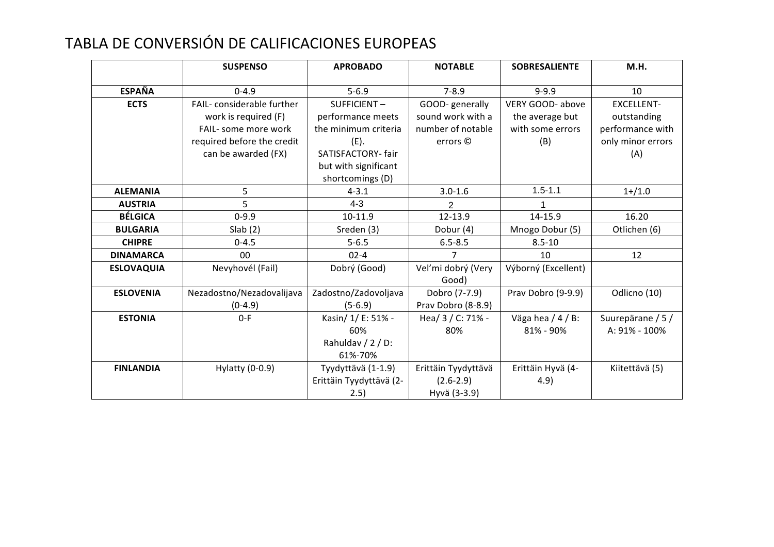## TABLA DE CONVERSIÓN DE CALIFICACIONES EUROPEAS

|                   | <b>SUSPENSO</b>            | <b>APROBADO</b>         | <b>NOTABLE</b>      | <b>SOBRESALIENTE</b> | M.H.              |
|-------------------|----------------------------|-------------------------|---------------------|----------------------|-------------------|
|                   |                            |                         |                     |                      |                   |
| <b>ESPAÑA</b>     | $0 - 4.9$                  | $5 - 6.9$               | $7 - 8.9$           | $9 - 9.9$            | 10                |
| <b>ECTS</b>       | FAIL-considerable further  | SUFFICIENT-             | GOOD- generally     | VERY GOOD- above     | <b>EXCELLENT-</b> |
|                   | work is required (F)       | performance meets       | sound work with a   | the average but      | outstanding       |
|                   | FAIL- some more work       | the minimum criteria    | number of notable   | with some errors     | performance with  |
|                   | required before the credit | (E).                    | errors ©            | (B)                  | only minor errors |
|                   | can be awarded (FX)        | SATISFACTORY- fair      |                     |                      | (A)               |
|                   |                            | but with significant    |                     |                      |                   |
|                   |                            | shortcomings (D)        |                     |                      |                   |
| <b>ALEMANIA</b>   | 5                          | $4 - 3.1$               | $3.0 - 1.6$         | $1.5 - 1.1$          | $1 + 1.0$         |
| <b>AUSTRIA</b>    | 5                          | $4 - 3$                 | 2                   |                      |                   |
| <b>BÉLGICA</b>    | $0 - 9.9$                  | 10-11.9                 | 12-13.9             | 14-15.9              | 16.20             |
| <b>BULGARIA</b>   | Slab(2)                    | Sreden (3)              | Dobur (4)           | Mnogo Dobur (5)      | Otlichen (6)      |
| <b>CHIPRE</b>     | $0 - 4.5$                  | $5 - 6.5$               | $6.5 - 8.5$         | $8.5 - 10$           |                   |
| <b>DINAMARCA</b>  | 00                         | $02 - 4$                |                     | 10                   | 12                |
| <b>ESLOVAQUIA</b> | Nevyhovél (Fail)           | Dobrý (Good)            | Veľmi dobrý (Very   | Výborný (Excellent)  |                   |
|                   |                            |                         | Good)               |                      |                   |
| <b>ESLOVENIA</b>  | Nezadostno/Nezadovalijava  | Zadostno/Zadovoljava    | Dobro (7-7.9)       | Prav Dobro (9-9.9)   | Odlicno (10)      |
|                   | $(0-4.9)$                  | $(5-6.9)$               | Prav Dobro (8-8.9)  |                      |                   |
| <b>ESTONIA</b>    | $0-F$                      | Kasin/ 1/ E: 51% -      | Hea/ 3 / C: 71% -   | Väga hea / 4 / B:    | Suurepärane / 5 / |
|                   |                            | 60%                     | 80%                 | 81% - 90%            | A: 91% - 100%     |
|                   |                            | Rahuldav / 2 / D:       |                     |                      |                   |
|                   |                            | 61%-70%                 |                     |                      |                   |
| <b>FINLANDIA</b>  | Hylatty (0-0.9)            | Tyydyttävä (1-1.9)      | Erittäin Tyydyttävä | Erittäin Hyvä (4-    | Kiitettävä (5)    |
|                   |                            | Erittäin Tyydyttävä (2- | $(2.6 - 2.9)$       | 4.9)                 |                   |
|                   |                            | 2.5)                    | Hyvä (3-3.9)        |                      |                   |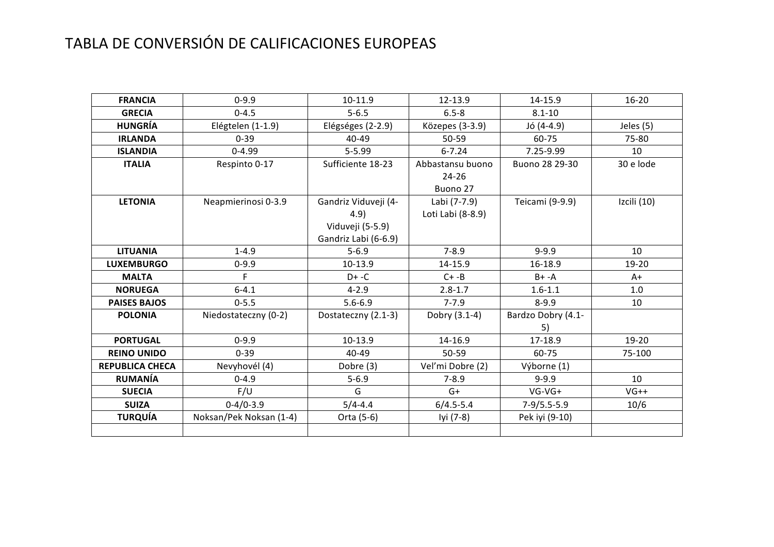## TABLA DE CONVERSIÓN DE CALIFICACIONES EUROPEAS

| <b>FRANCIA</b>         | $0 - 9.9$               | 10-11.9                                                                  | 12-13.9                                   | 14-15.9                  | $16 - 20$   |
|------------------------|-------------------------|--------------------------------------------------------------------------|-------------------------------------------|--------------------------|-------------|
| <b>GRECIA</b>          | $0 - 4.5$               | $5 - 6.5$                                                                | $6.5 - 8$                                 | $8.1 - 10$               |             |
| <b>HUNGRÍA</b>         | Elégtelen (1-1.9)       | Elégséges (2-2.9)                                                        | Közepes (3-3.9)                           | Jó (4-4.9)               | Jeles (5)   |
| <b>IRLANDA</b>         | $0 - 39$                | 40-49                                                                    | 50-59                                     | 60-75                    | 75-80       |
| <b>ISLANDIA</b>        | $0 - 4.99$              | $5 - 5.99$                                                               | $6 - 7.24$                                | 7.25-9.99                | 10          |
| <b>ITALIA</b>          | Respinto 0-17           | Sufficiente 18-23                                                        | Abbastansu buono<br>$24 - 26$<br>Buono 27 | Buono 28 29-30           | 30 e lode   |
| <b>LETONIA</b>         | Neapmierinosi 0-3.9     | Gandriz Viduveji (4-<br>4.9)<br>Viduveji (5-5.9)<br>Gandriz Labi (6-6.9) | Labi (7-7.9)<br>Loti Labi (8-8.9)         | Teicami (9-9.9)          | Izcili (10) |
| <b>LITUANIA</b>        | $1 - 4.9$               | $5 - 6.9$                                                                | $7 - 8.9$                                 | $9 - 9.9$                | 10          |
| <b>LUXEMBURGO</b>      | $0 - 9.9$               | 10-13.9                                                                  | 14-15.9                                   | 16-18.9                  | 19-20       |
| <b>MALTA</b>           | F                       | $D+ -C$                                                                  | $C + -B$                                  | $B+ -A$                  | $A+$        |
| <b>NORUEGA</b>         | $6 - 4.1$               | $4 - 2.9$                                                                | $2.8 - 1.7$                               | $1.6 - 1.1$              | 1.0         |
| <b>PAISES BAJOS</b>    | $0 - 5.5$               | $5.6 - 6.9$                                                              | $7 - 7.9$                                 | $8 - 9.9$                | 10          |
| <b>POLONIA</b>         | Niedostateczny (0-2)    | Dostateczny (2.1-3)                                                      | Dobry (3.1-4)                             | Bardzo Dobry (4.1-<br>5) |             |
| <b>PORTUGAL</b>        | $0 - 9.9$               | 10-13.9                                                                  | 14-16.9                                   | 17-18.9                  | 19-20       |
| <b>REINO UNIDO</b>     | $0 - 39$                | 40-49                                                                    | $50 - 59$                                 | 60-75                    | 75-100      |
| <b>REPUBLICA CHECA</b> | Nevyhovél (4)           | Dobre (3)                                                                | Veľmi Dobre (2)                           | Výborne (1)              |             |
| <b>RUMANÍA</b>         | $0 - 4.9$               | $5 - 6.9$                                                                | $7 - 8.9$                                 | $9 - 9.9$                | 10          |
| <b>SUECIA</b>          | F/U                     | G                                                                        | $G+$                                      | $VG-VG+$                 | $VG++$      |
| <b>SUIZA</b>           | $0-4/0-3.9$             | $5/4 - 4.4$                                                              | $6/4.5 - 5.4$                             | $7-9/5.5-5.9$            | 10/6        |
| <b>TURQUÍA</b>         | Noksan/Pek Noksan (1-4) | Orta (5-6)                                                               | lyi (7-8)                                 | Pek iyi (9-10)           |             |
|                        |                         |                                                                          |                                           |                          |             |